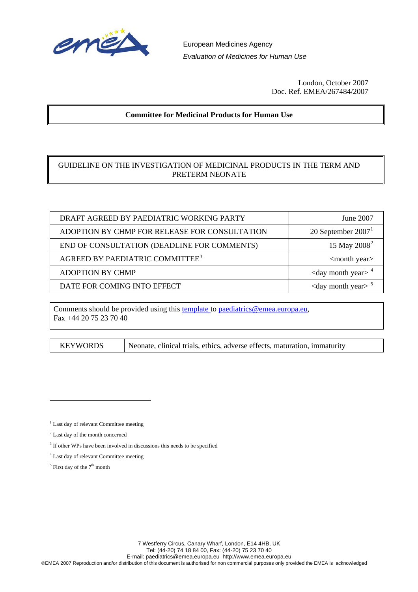

European Medicines Agency *Evaluation of Medicines for Human Use* 

> London, October 2007 Doc. Ref. EMEA/267484/2007

### **Committee for Medicinal Products for Human Use**

### GUIDELINE ON THE INVESTIGATION OF MEDICINAL PRODUCTS IN THE TERM AND PRETERM NEONATE

| DRAFT AGREED BY PAEDIATRIC WORKING PARTY      | June 2007                                 |
|-----------------------------------------------|-------------------------------------------|
| ADOPTION BY CHMP FOR RELEASE FOR CONSULTATION | 20 September $20071$                      |
| END OF CONSULTATION (DEADLINE FOR COMMENTS)   | 15 May 2008 <sup>2</sup>                  |
| AGREED BY PAEDIATRIC COMMITTEE <sup>3</sup>   | <month year=""></month>                   |
| <b>ADOPTION BY CHMP</b>                       | $\langle$ day month year $>$ <sup>4</sup> |
| DATE FOR COMING INTO EFFECT                   | $\langle$ day month year $>$ <sup>5</sup> |

Comments should be provided using this [template t](http://www.emea.europa.eu/pdfs/human/peg/submitcomment.doc)o [paediatrics@emea.europa.eu,](mailto:paediatrics@emea.europa.eu) Fax +44 20 75 23 70 40

l

KEYWORDS Neonate, clinical trials, ethics, adverse effects, maturation, immaturity

<span id="page-0-0"></span><sup>&</sup>lt;sup>1</sup> Last day of relevant Committee meeting

<span id="page-0-1"></span><sup>&</sup>lt;sup>2</sup> Last day of the month concerned

<span id="page-0-2"></span><sup>&</sup>lt;sup>3</sup> If other WPs have been involved in discussions this needs to be specified

<span id="page-0-3"></span><sup>&</sup>lt;sup>4</sup> Last day of relevant Committee meeting

<span id="page-0-4"></span> $<sup>5</sup>$  First day of the  $7<sup>th</sup>$  month</sup>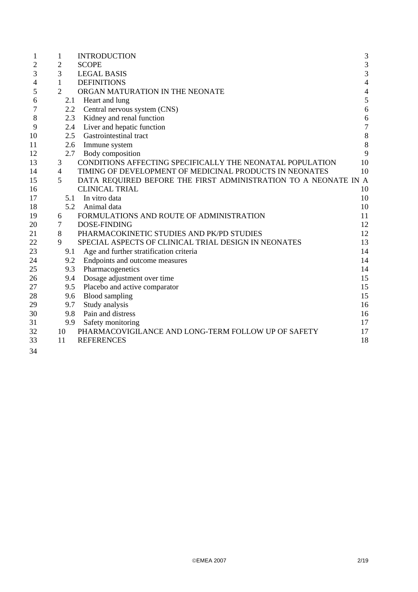| 1              | <b>INTRODUCTION</b>                                                    | 3                                                                                                                                                                                                                                                                                                                                                                                                                                                                                                                                                                                                                                                                                                                                                                                                                         |
|----------------|------------------------------------------------------------------------|---------------------------------------------------------------------------------------------------------------------------------------------------------------------------------------------------------------------------------------------------------------------------------------------------------------------------------------------------------------------------------------------------------------------------------------------------------------------------------------------------------------------------------------------------------------------------------------------------------------------------------------------------------------------------------------------------------------------------------------------------------------------------------------------------------------------------|
| 2              | <b>SCOPE</b>                                                           | $\overline{3}$                                                                                                                                                                                                                                                                                                                                                                                                                                                                                                                                                                                                                                                                                                                                                                                                            |
| 3              | <b>LEGAL BASIS</b>                                                     | 3                                                                                                                                                                                                                                                                                                                                                                                                                                                                                                                                                                                                                                                                                                                                                                                                                         |
| 1              | <b>DEFINITIONS</b>                                                     | $\overline{4}$                                                                                                                                                                                                                                                                                                                                                                                                                                                                                                                                                                                                                                                                                                                                                                                                            |
| $\overline{2}$ | ORGAN MATURATION IN THE NEONATE                                        | $\overline{4}$                                                                                                                                                                                                                                                                                                                                                                                                                                                                                                                                                                                                                                                                                                                                                                                                            |
| 2.1            | Heart and lung                                                         | 5                                                                                                                                                                                                                                                                                                                                                                                                                                                                                                                                                                                                                                                                                                                                                                                                                         |
|                | Central nervous system (CNS)                                           | 6                                                                                                                                                                                                                                                                                                                                                                                                                                                                                                                                                                                                                                                                                                                                                                                                                         |
|                | Kidney and renal function                                              | 6                                                                                                                                                                                                                                                                                                                                                                                                                                                                                                                                                                                                                                                                                                                                                                                                                         |
|                | Liver and hepatic function                                             | $\overline{7}$                                                                                                                                                                                                                                                                                                                                                                                                                                                                                                                                                                                                                                                                                                                                                                                                            |
| 2.5            | Gastrointestinal tract                                                 | $\,8\,$                                                                                                                                                                                                                                                                                                                                                                                                                                                                                                                                                                                                                                                                                                                                                                                                                   |
|                | Immune system                                                          | $\,8$                                                                                                                                                                                                                                                                                                                                                                                                                                                                                                                                                                                                                                                                                                                                                                                                                     |
|                | Body composition                                                       | 9                                                                                                                                                                                                                                                                                                                                                                                                                                                                                                                                                                                                                                                                                                                                                                                                                         |
| 3              |                                                                        | 10                                                                                                                                                                                                                                                                                                                                                                                                                                                                                                                                                                                                                                                                                                                                                                                                                        |
| 4              |                                                                        | 10                                                                                                                                                                                                                                                                                                                                                                                                                                                                                                                                                                                                                                                                                                                                                                                                                        |
| 5              |                                                                        |                                                                                                                                                                                                                                                                                                                                                                                                                                                                                                                                                                                                                                                                                                                                                                                                                           |
|                |                                                                        | 10                                                                                                                                                                                                                                                                                                                                                                                                                                                                                                                                                                                                                                                                                                                                                                                                                        |
|                |                                                                        | 10                                                                                                                                                                                                                                                                                                                                                                                                                                                                                                                                                                                                                                                                                                                                                                                                                        |
|                |                                                                        | 10                                                                                                                                                                                                                                                                                                                                                                                                                                                                                                                                                                                                                                                                                                                                                                                                                        |
| 6              |                                                                        | 11                                                                                                                                                                                                                                                                                                                                                                                                                                                                                                                                                                                                                                                                                                                                                                                                                        |
|                |                                                                        | 12                                                                                                                                                                                                                                                                                                                                                                                                                                                                                                                                                                                                                                                                                                                                                                                                                        |
|                |                                                                        | 12                                                                                                                                                                                                                                                                                                                                                                                                                                                                                                                                                                                                                                                                                                                                                                                                                        |
|                |                                                                        | 13                                                                                                                                                                                                                                                                                                                                                                                                                                                                                                                                                                                                                                                                                                                                                                                                                        |
|                |                                                                        | 14                                                                                                                                                                                                                                                                                                                                                                                                                                                                                                                                                                                                                                                                                                                                                                                                                        |
|                |                                                                        | 14                                                                                                                                                                                                                                                                                                                                                                                                                                                                                                                                                                                                                                                                                                                                                                                                                        |
|                |                                                                        | 14                                                                                                                                                                                                                                                                                                                                                                                                                                                                                                                                                                                                                                                                                                                                                                                                                        |
|                |                                                                        | 15                                                                                                                                                                                                                                                                                                                                                                                                                                                                                                                                                                                                                                                                                                                                                                                                                        |
|                |                                                                        | 15                                                                                                                                                                                                                                                                                                                                                                                                                                                                                                                                                                                                                                                                                                                                                                                                                        |
|                |                                                                        | 15                                                                                                                                                                                                                                                                                                                                                                                                                                                                                                                                                                                                                                                                                                                                                                                                                        |
|                |                                                                        | 16                                                                                                                                                                                                                                                                                                                                                                                                                                                                                                                                                                                                                                                                                                                                                                                                                        |
|                |                                                                        | 16                                                                                                                                                                                                                                                                                                                                                                                                                                                                                                                                                                                                                                                                                                                                                                                                                        |
|                |                                                                        | 17                                                                                                                                                                                                                                                                                                                                                                                                                                                                                                                                                                                                                                                                                                                                                                                                                        |
|                |                                                                        | 17                                                                                                                                                                                                                                                                                                                                                                                                                                                                                                                                                                                                                                                                                                                                                                                                                        |
|                |                                                                        | 18                                                                                                                                                                                                                                                                                                                                                                                                                                                                                                                                                                                                                                                                                                                                                                                                                        |
|                | 5.1<br>$\tau$<br>8<br>9<br>9.1<br>9.3<br>9.4<br>9.5<br>9.9<br>10<br>11 | 2.2<br>2.3<br>2.4<br>2.6<br>2.7<br>CONDITIONS AFFECTING SPECIFICALLY THE NEONATAL POPULATION<br>TIMING OF DEVELOPMENT OF MEDICINAL PRODUCTS IN NEONATES<br>DATA REQUIRED BEFORE THE FIRST ADMINISTRATION TO A NEONATE IN A<br><b>CLINICAL TRIAL</b><br>In vitro data<br>5.2<br>Animal data<br>FORMULATIONS AND ROUTE OF ADMINISTRATION<br>DOSE-FINDING<br>PHARMACOKINETIC STUDIES AND PK/PD STUDIES<br>SPECIAL ASPECTS OF CLINICAL TRIAL DESIGN IN NEONATES<br>Age and further stratification criteria<br>Endpoints and outcome measures<br>9.2<br>Pharmacogenetics<br>Dosage adjustment over time<br>Placebo and active comparator<br><b>Blood</b> sampling<br>9.6<br>Study analysis<br>9.7<br>Pain and distress<br>9.8<br>Safety monitoring<br>PHARMACOVIGILANCE AND LONG-TERM FOLLOW UP OF SAFETY<br><b>REFERENCES</b> |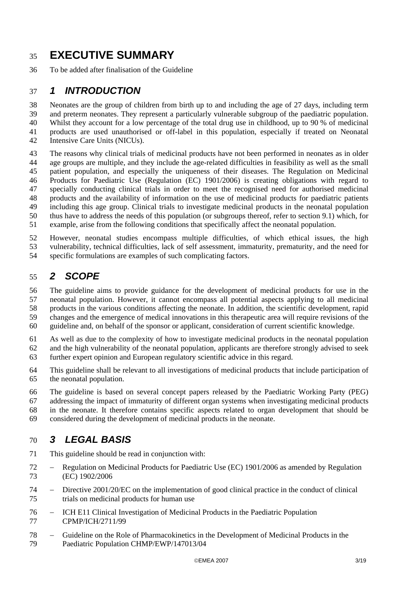# <span id="page-2-0"></span><sup>35</sup>**EXECUTIVE SUMMARY**

36 To be added after finalisation of the Guideline

## 37 *1 INTRODUCTION*

38 39 40 41 42 Neonates are the group of children from birth up to and including the age of 27 days, including term and preterm neonates. They represent a particularly vulnerable subgroup of the paediatric population. Whilst they account for a low percentage of the total drug use in childhood, up to 90 % of medicinal products are used unauthorised or off-label in this population, especially if treated on Neonatal Intensive Care Units (NICUs).

43 44 45 46 47 48 49 50 The reasons why clinical trials of medicinal products have not been performed in neonates as in older age groups are multiple, and they include the age-related difficulties in feasibility as well as the small patient population, and especially the uniqueness of their diseases. The Regulation on Medicinal Products for Paediatric Use (Regulation (EC) 1901/2006) is creating obligations with regard to specially conducting clinical trials in order to meet the recognised need for authorised medicinal products and the availability of information on the use of medicinal products for paediatric patients including this age group. Clinical trials to investigate medicinal products in the neonatal population thus have to address the needs of this population (or subgroups thereof, refer to section [9.1](#page-13-1)) which, for example, arise from the following conditions that specifically affect the neonatal population.

51

52 53 54 However, neonatal studies encompass multiple difficulties, of which ethical issues, the high vulnerability, technical difficulties, lack of self assessment, immaturity, prematurity, and the need for specific formulations are examples of such complicating factors.

# 55 *2 SCOPE*

56 57 58 59 The guideline aims to provide guidance for the development of medicinal products for use in the neonatal population. However, it cannot encompass all potential aspects applying to all medicinal products in the various conditions affecting the neonate. In addition, the scientific development, rapid changes and the emergence of medical innovations in this therapeutic area will require revisions of the

- 60 guideline and, on behalf of the sponsor or applicant, consideration of current scientific knowledge.
- 61 As well as due to the complexity of how to investigate medicinal products in the neonatal population
- 62 63 and the high vulnerability of the neonatal population, applicants are therefore strongly advised to seek further expert opinion and European regulatory scientific advice in this regard.
- 64 65 This guideline shall be relevant to all investigations of medicinal products that include participation of the neonatal population.

66 The guideline is based on several concept papers released by the Paediatric Working Party (PEG)

67 addressing the impact of immaturity of different organ systems when investigating medicinal products

68 in the neonate. It therefore contains specific aspects related to organ development that should be

69 considered during the development of medicinal products in the neonate.

# 70 *3 LEGAL BASIS*

- 71 This guideline should be read in conjunction with:
- 73 72 − Regulation on Medicinal Products for Paediatric Use (EC) 1901/2006 as amended by Regulation (EC) 1902/2006
- 75 74 − Directive 2001/20/EC on the implementation of good clinical practice in the conduct of clinical trials on medicinal products for human use
- 77 76 − ICH E11 Clinical Investigation of Medicinal Products in the Paediatric Population CPMP/ICH/2711/99
- 79 78 – Guideline on the Role of Pharmacokinetics in the Development of Medicinal Products in the Paediatric Population CHMP/EWP/147013/04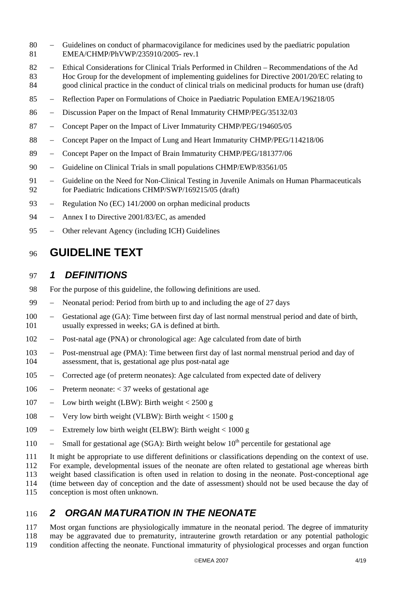- <span id="page-3-0"></span>80 − Guidelines on conduct of pharmacovigilance for medicines used by the paediatric population 81 EMEA/CHMP/PhVWP/235910/2005- rev.1
- 83 84 82 − Ethical Considerations for Clinical Trials Performed in Children – Recommendations of the Ad Hoc Group for the development of implementing guidelines for Directive 2001/20/EC relating to good clinical practice in the conduct of clinical trials on medicinal products for human use (draft)
- 85 − Reflection Paper on Formulations of Choice in Paediatric Population EMEA/196218/05
- 86 Discussion Paper on the Impact of Renal Immaturity CHMP/PEG/35132/03
- 87 Concept Paper on the Impact of Liver Immaturity CHMP/PEG/194605/05
- 88 Concept Paper on the Impact of Lung and Heart Immaturity CHMP/PEG/114218/06
- 89 Concept Paper on the Impact of Brain Immaturity CHMP/PEG/181377/06
- 90 Guideline on Clinical Trials in small populations CHMP/EWP/83561/05
- 92 91 – Guideline on the Need for Non-Clinical Testing in Juvenile Animals on Human Pharmaceuticals for Paediatric Indications CHMP/SWP/169215/05 (draft)
- 93 − Regulation No (EC) 141/2000 on orphan medicinal products
- 94 Annex I to Directive 2001/83/EC, as amended
- 95 Other relevant Agency (including ICH) Guidelines

#### 96 **GUIDELINE TEXT**

## 97 *1 DEFINITIONS*

98 For the purpose of this guideline, the following definitions are used.

- 99 − Neonatal period: Period from birth up to and including the age of 27 days
- 101 100 − Gestational age (GA): Time between first day of last normal menstrual period and date of birth, usually expressed in weeks; GA is defined at birth.
- 102 − Post-natal age (PNA) or chronological age: Age calculated from date of birth
- 104 103 − Post-menstrual age (PMA): Time between first day of last normal menstrual period and day of assessment, that is, gestational age plus post-natal age
- 105 − Corrected age (of preterm neonates): Age calculated from expected date of delivery
- 106 − Preterm neonate: < 37 weeks of gestational age
- 107 − Low birth weight (LBW): Birth weight < 2500 g
- 108 − Very low birth weight (VLBW): Birth weight < 1500 g
- 109 − Extremely low birth weight (ELBW): Birth weight < 1000 g
- $110 -$  Small for gestational age (SGA): Birth weight below  $10<sup>th</sup>$  percentile for gestational age

111 It might be appropriate to use different definitions or classifications depending on the context of use.

- 112 For example, developmental issues of the neonate are often related to gestational age whereas birth
- 113 weight based classification is often used in relation to dosing in the neonate. Post-conceptional age
- 114 (time between day of conception and the date of assessment) should not be used because the day of
- 115 conception is most often unknown.

# 116 *2 ORGAN MATURATION IN THE NEONATE*

117 118 Most organ functions are physiologically immature in the neonatal period. The degree of immaturity may be aggravated due to prematurity, intrauterine growth retardation or any potential pathologic

119 condition affecting the neonate. Functional immaturity of physiological processes and organ function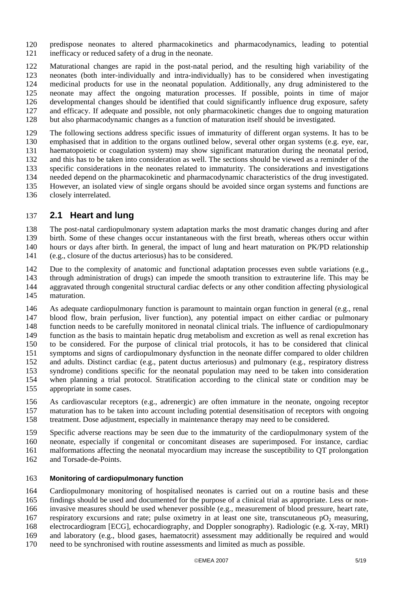<span id="page-4-0"></span>120 121 predispose neonates to altered pharmacokinetics and pharmacodynamics, leading to potential inefficacy or reduced safety of a drug in the neonate.

122 123 124 125 126 127 128 Maturational changes are rapid in the post-natal period, and the resulting high variability of the neonates (both inter-individually and intra-individually) has to be considered when investigating medicinal products for use in the neonatal population. Additionally, any drug administered to the neonate may affect the ongoing maturation processes. If possible, points in time of major developmental changes should be identified that could significantly influence drug exposure, safety and efficacy. If adequate and possible, not only pharmacokinetic changes due to ongoing maturation but also pharmacodynamic changes as a function of maturation itself should be investigated.

129 130 131 132 133 134 135 136 The following sections address specific issues of immaturity of different organ systems. It has to be emphasised that in addition to the organs outlined below, several other organ systems (e.g. eye, ear, haematopoietic or coagulation system) may show significant maturation during the neonatal period, and this has to be taken into consideration as well. The sections should be viewed as a reminder of the specific considerations in the neonates related to immaturity. The considerations and investigations needed depend on the pharmacokinetic and pharmacodynamic characteristics of the drug investigated. However, an isolated view of single organs should be avoided since organ systems and functions are closely interrelated.

### 137 **2.1 Heart and lung**

138 139 140 141 The post-natal cardiopulmonary system adaptation marks the most dramatic changes during and after birth. Some of these changes occur instantaneous with the first breath, whereas others occur within hours or days after birth. In general, the impact of lung and heart maturation on PK/PD relationship (e.g., closure of the ductus arteriosus) has to be considered.

142 143 144 145 Due to the complexity of anatomic and functional adaptation processes even subtle variations (e.g., through administration of drugs) can impede the smooth transition to extrauterine life. This may be aggravated through congenital structural cardiac defects or any other condition affecting physiological maturation.

146 147 148 149 150 151 152 153 154 155 As adequate cardiopulmonary function is paramount to maintain organ function in general (e.g., renal blood flow, brain perfusion, liver function), any potential impact on either cardiac or pulmonary function needs to be carefully monitored in neonatal clinical trials. The influence of cardiopulmonary function as the basis to maintain hepatic drug metabolism and excretion as well as renal excretion has to be considered. For the purpose of clinical trial protocols, it has to be considered that clinical symptoms and signs of cardiopulmonary dysfunction in the neonate differ compared to older children and adults. Distinct cardiac (e.g., patent ductus arteriosus) and pulmonary (e.g., respiratory distress syndrome) conditions specific for the neonatal population may need to be taken into consideration when planning a trial protocol. Stratification according to the clinical state or condition may be appropriate in some cases.

156 157 158 As cardiovascular receptors (e.g., adrenergic) are often immature in the neonate, ongoing receptor maturation has to be taken into account including potential desensitisation of receptors with ongoing treatment. Dose adjustment, especially in maintenance therapy may need to be considered.

159 160 Specific adverse reactions may be seen due to the immaturity of the cardiopulmonary system of the neonate, especially if congenital or concomitant diseases are superimposed. For instance, cardiac

161 malformations affecting the neonatal myocardium may increase the susceptibility to QT prolongation

162 and Torsade-de-Points.

### 163 **Monitoring of cardiopulmonary function**

164 Cardiopulmonary monitoring of hospitalised neonates is carried out on a routine basis and these

165 findings should be used and documented for the purpose of a clinical trial as appropriate. Less or non-

166 invasive measures should be used whenever possible (e.g., measurement of blood pressure, heart rate,

- 167 respiratory excursions and rate; pulse oximetry in at least one site, transcutaneous  $pO_2$  measuring,
- 168 169 electrocardiogram [ECG], echocardiography, and Doppler sonography). Radiologic (e.g. X-ray, MRI) and laboratory (e.g., blood gases, haematocrit) assessment may additionally be required and would
- need to be synchronised with routine assessments and limited as much as possible.
- 170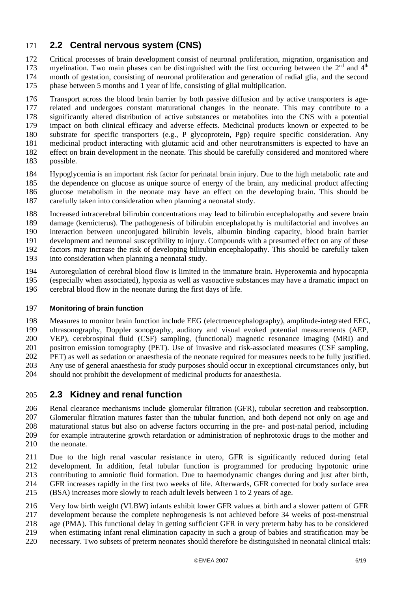### <span id="page-5-0"></span>171 **2.2 Central nervous system (CNS)**

172 173 174 175 Critical processes of brain development consist of neuronal proliferation, migration, organisation and myelination. Two main phases can be distinguished with the first occurring between the  $2<sup>nd</sup>$  and  $4<sup>th</sup>$ month of gestation, consisting of neuronal proliferation and generation of radial glia, and the second phase between 5 months and 1 year of life, consisting of glial multiplication.

176 177 178 179 180 181 182 183 Transport across the blood brain barrier by both passive diffusion and by active transporters is agerelated and undergoes constant maturational changes in the neonate. This may contribute to a significantly altered distribution of active substances or metabolites into the CNS with a potential impact on both clinical efficacy and adverse effects. Medicinal products known or expected to be substrate for specific transporters (e.g., P glycoprotein, Pgp) require specific consideration. Any medicinal product interacting with glutamic acid and other neurotransmitters is expected to have an effect on brain development in the neonate. This should be carefully considered and monitored where possible.

184 185 186 187 Hypoglycemia is an important risk factor for perinatal brain injury. Due to the high metabolic rate and the dependence on glucose as unique source of energy of the brain, any medicinal product affecting glucose metabolism in the neonate may have an effect on the developing brain. This should be carefully taken into consideration when planning a neonatal study.

- 188 189 190 191 Increased intracerebral bilirubin concentrations may lead to bilirubin encephalopathy and severe brain damage (kernicterus). The pathogenesis of bilirubin encephalopathy is multifactorial and involves an interaction between unconjugated bilirubin levels, albumin binding capacity, blood brain barrier development and neuronal susceptibility to injury. Compounds with a presumed effect on any of these
- 192 factors may increase the risk of developing bilirubin encephalopathy. This should be carefully taken
- 193 into consideration when planning a neonatal study.
- 194 Autoregulation of cerebral blood flow is limited in the immature brain. Hyperoxemia and hypocapnia
- 195 (especially when associated), hypoxia as well as vasoactive substances may have a dramatic impact on
- 196 cerebral blood flow in the neonate during the first days of life.

#### 197 **Monitoring of brain function**

198 199 200 201 202 203 204 Measures to monitor brain function include EEG (electroencephalography), amplitude-integrated EEG, ultrasonography, Doppler sonography, auditory and visual evoked potential measurements (AEP, VEP), cerebrospinal fluid (CSF) sampling, (functional) magnetic resonance imaging (MRI) and positron emission tomography (PET). Use of invasive and risk-associated measures (CSF sampling, PET) as well as sedation or anaesthesia of the neonate required for measures needs to be fully justified. Any use of general anaesthesia for study purposes should occur in exceptional circumstances only, but should not prohibit the development of medicinal products for anaesthesia.

<span id="page-5-1"></span>205 **2.3 Kidney and renal function** 

206 207 208 209 210 Renal clearance mechanisms include glomerular filtration (GFR), tubular secretion and reabsorption. Glomerular filtration matures faster than the tubular function, and both depend not only on age and maturational status but also on adverse factors occurring in the pre- and post-natal period, including for example intrauterine growth retardation or administration of nephrotoxic drugs to the mother and the neonate.

211 212 213 214 215 Due to the high renal vascular resistance in utero, GFR is significantly reduced during fetal development. In addition, fetal tubular function is programmed for producing hypotonic urine contributing to amniotic fluid formation. Due to haemodynamic changes during and just after birth, GFR increases rapidly in the first two weeks of life. Afterwards, GFR corrected for body surface area (BSA) increases more slowly to reach adult levels between 1 to 2 years of age.

- 216 Very low birth weight (VLBW) infants exhibit lower GFR values at birth and a slower pattern of GFR
- 217 development because the complete nephrogenesis is not achieved before 34 weeks of post-menstrual
- 218 age (PMA). This functional delay in getting sufficient GFR in very preterm baby has to be considered
- 219 when estimating infant renal elimination capacity in such a group of babies and stratification may be
- 220 necessary. Two subsets of preterm neonates should therefore be distinguished in neonatal clinical trials: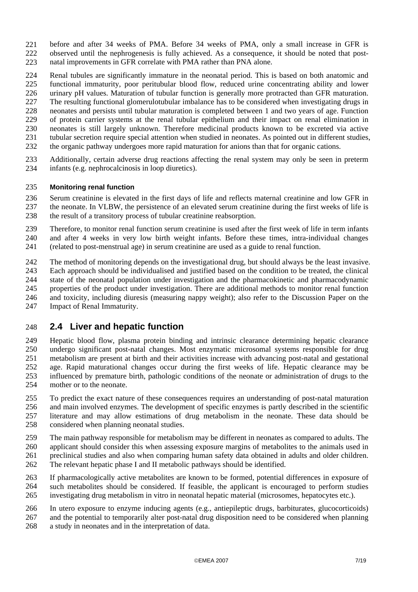- <span id="page-6-0"></span>221 before and after 34 weeks of PMA. Before 34 weeks of PMA, only a small increase in GFR is
- 222 observed until the nephrogenesis is fully achieved. As a consequence, it should be noted that post-
- 223 natal improvements in GFR correlate with PMA rather than PNA alone.
- 224 225 226 227 Renal tubules are significantly immature in the neonatal period. This is based on both anatomic and functional immaturity, poor peritubular blood flow, reduced urine concentrating ability and lower urinary pH values. Maturation of tubular function is generally more protracted than GFR maturation. The resulting functional glomerulotubular imbalance has to be considered when investigating drugs in
- 228 neonates and persists until tubular maturation is completed between 1 and two years of age. Function
- 229 230 of protein carrier systems at the renal tubular epithelium and their impact on renal elimination in neonates is still largely unknown. Therefore medicinal products known to be excreted via active
- 231 tubular secretion require special attention when studied in neonates. As pointed out in different studies,
- 232 the organic pathway undergoes more rapid maturation for anions than that for organic cations.
- 233 234 Additionally, certain adverse drug reactions affecting the renal system may only be seen in preterm infants (e.g. nephrocalcinosis in loop diuretics).

### 235 **Monitoring renal function**

236 237 238 Serum creatinine is elevated in the first days of life and reflects maternal creatinine and low GFR in the neonate. In VLBW, the persistence of an elevated serum creatinine during the first weeks of life is the result of a transitory process of tubular creatinine reabsorption.

- 239 240 241 Therefore, to monitor renal function serum creatinine is used after the first week of life in term infants and after 4 weeks in very low birth weight infants. Before these times, intra-individual changes (related to post-menstrual age) in serum creatinine are used as a guide to renal function.
- 242 243 244 The method of monitoring depends on the investigational drug, but should always be the least invasive. Each approach should be individualised and justified based on the condition to be treated, the clinical state of the neonatal population under investigation and the pharmacokinetic and pharmacodynamic
- 245 properties of the product under investigation. There are additional methods to monitor renal function
- 246 and toxicity, including diuresis (measuring nappy weight); also refer to the Discussion Paper on the
- 247 Impact of Renal Immaturity.

## 248 **2.4 Liver and hepatic function**

249 250 251 252 253 254 Hepatic blood flow, plasma protein binding and intrinsic clearance determining hepatic clearance undergo significant post-natal changes. Most enzymatic microsomal systems responsible for drug metabolism are present at birth and their activities increase with advancing post-natal and gestational age. Rapid maturational changes occur during the first weeks of life. Hepatic clearance may be influenced by premature birth, pathologic conditions of the neonate or administration of drugs to the mother or to the neonate.

- 255 256 257 258 To predict the exact nature of these consequences requires an understanding of post-natal maturation and main involved enzymes. The development of specific enzymes is partly described in the scientific literature and may allow estimations of drug metabolism in the neonate. These data should be considered when planning neonatal studies.
- 259 The main pathway responsible for metabolism may be different in neonates as compared to adults. The
- 260 applicant should consider this when assessing exposure margins of metabolites to the animals used in
- 261 preclinical studies and also when comparing human safety data obtained in adults and older children.
- 262 The relevant hepatic phase I and II metabolic pathways should be identified.
- 263 264 265 If pharmacologically active metabolites are known to be formed, potential differences in exposure of such metabolites should be considered. If feasible, the applicant is encouraged to perform studies investigating drug metabolism in vitro in neonatal hepatic material (microsomes, hepatocytes etc.).
- 266 267 268 In utero exposure to enzyme inducing agents (e.g., antiepileptic drugs, barbiturates, glucocorticoids) and the potential to temporarily alter post-natal drug disposition need to be considered when planning a study in neonates and in the interpretation of data.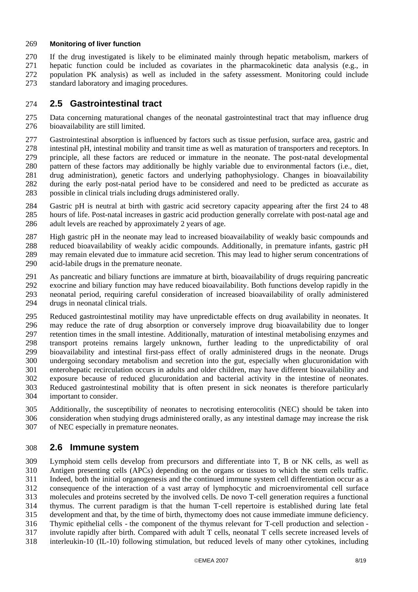#### <span id="page-7-0"></span>269 **Monitoring of liver function**

270 271 272 273 If the drug investigated is likely to be eliminated mainly through hepatic metabolism, markers of hepatic function could be included as covariates in the pharmacokinetic data analysis (e.g., in population PK analysis) as well as included in the safety assessment. Monitoring could include standard laboratory and imaging procedures.

### <span id="page-7-1"></span>274 **2.5 Gastrointestinal tract**

- 275 276 Data concerning maturational changes of the neonatal gastrointestinal tract that may influence drug bioavailability are still limited.
- 277 278 279 280 281 282 283 Gastrointestinal absorption is influenced by factors such as tissue perfusion, surface area, gastric and intestinal pH, intestinal mobility and transit time as well as maturation of transporters and receptors. In principle, all these factors are reduced or immature in the neonate. The post-natal developmental pattern of these factors may additionally be highly variable due to environmental factors (i.e., diet, drug administration), genetic factors and underlying pathophysiology. Changes in bioavailability during the early post-natal period have to be considered and need to be predicted as accurate as possible in clinical trials including drugs administered orally.
- 284 285 286 Gastric pH is neutral at birth with gastric acid secretory capacity appearing after the first 24 to 48 hours of life. Post-natal increases in gastric acid production generally correlate with post-natal age and adult levels are reached by approximately 2 years of age.
- 287 288 289 290 High gastric pH in the neonate may lead to increased bioavailability of weakly basic compounds and reduced bioavailability of weakly acidic compounds. Additionally, in premature infants, gastric pH may remain elevated due to immature acid secretion. This may lead to higher serum concentrations of acid-labile drugs in the premature neonate.
- 291 292 293 294 As pancreatic and biliary functions are immature at birth, bioavailability of drugs requiring pancreatic exocrine and biliary function may have reduced bioavailability. Both functions develop rapidly in the neonatal period, requiring careful consideration of increased bioavailability of orally administered drugs in neonatal clinical trials.
- 295 296 297 298 299 300 301 302 303 304 Reduced gastrointestinal motility may have unpredictable effects on drug availability in neonates. It may reduce the rate of drug absorption or conversely improve drug bioavailability due to longer retention times in the small intestine. Additionally, maturation of intestinal metabolising enzymes and transport proteins remains largely unknown, further leading to the unpredictability of oral bioavailability and intestinal first-pass effect of orally administered drugs in the neonate. Drugs undergoing secondary metabolism and secretion into the gut, especially when glucuronidation with enterohepatic recirculation occurs in adults and older children, may have different bioavailability and exposure because of reduced glucuronidation and bacterial activity in the intestine of neonates. Reduced gastrointestinal mobility that is often present in sick neonates is therefore particularly important to consider.
- 305 306 307 Additionally, the susceptibility of neonates to necrotising enterocolitis (NEC) should be taken into consideration when studying drugs administered orally, as any intestinal damage may increase the risk of NEC especially in premature neonates.

### 308 **2.6 Immune system**

309 310 311 312 313 314 315 316 317 318 Lymphoid stem cells develop from precursors and differentiate into T, B or NK cells, as well as Antigen presenting cells (APCs) depending on the organs or tissues to which the stem cells traffic. Indeed, both the initial organogenesis and the continued immune system cell differentiation occur as a consequence of the interaction of a vast array of lymphocytic and microenviromental cell surface molecules and proteins secreted by the involved cells. De novo T-cell generation requires a functional thymus. The current paradigm is that the human T-cell repertoire is established during late fetal development and that, by the time of birth, thymectomy does not cause immediate immune deficiency. Thymic epithelial cells - the component of the thymus relevant for T-cell production and selection involute rapidly after birth. Compared with adult T cells, neonatal T cells secrete increased levels of interleukin-10 (IL-10) following stimulation, but reduced levels of many other cytokines, including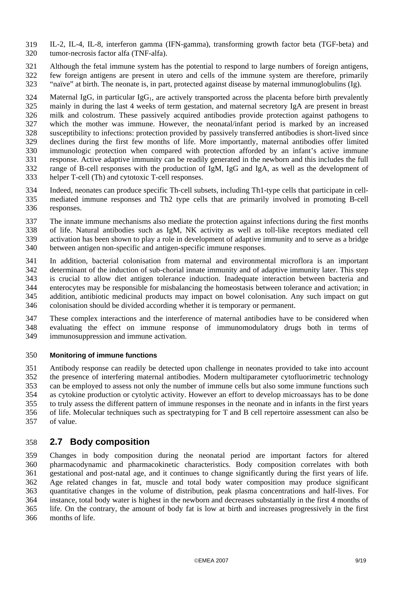- <span id="page-8-0"></span>319 320 IL-2, IL-4, IL-8, interferon gamma (IFN-gamma), transforming growth factor beta (TGF-beta) and tumor-necrosis factor alfa (TNF-alfa).
- 321 322 323 Although the fetal immune system has the potential to respond to large numbers of foreign antigens, few foreign antigens are present in utero and cells of the immune system are therefore, primarily "naïve" at birth. The neonate is, in part, protected against disease by maternal immunoglobulins (Ig).

324 325 326 327 328 329 330 331 332 333 Maternal IgG, in particular IgG<sub>1</sub>, are actively transported across the placenta before birth prevalently mainly in during the last 4 weeks of term gestation, and maternal secretory IgA are present in breast milk and colostrum. These passively acquired antibodies provide protection against pathogens to which the mother was immune. However, the neonatal/infant period is marked by an increased susceptibility to infections: protection provided by passively transferred antibodies is short-lived since declines during the first few months of life. More importantly, maternal antibodies offer limited immunologic protection when compared with protection afforded by an infant's active immune response. Active adaptive immunity can be readily generated in the newborn and this includes the full range of B-cell responses with the production of IgM, IgG and IgA, as well as the development of helper T-cell (Th) and cytotoxic T-cell responses.

- 334 335 336 Indeed, neonates can produce specific Th-cell subsets, including Th1-type cells that participate in cellmediated immune responses and Th2 type cells that are primarily involved in promoting B-cell responses.
- 337 338 339 340 The innate immune mechanisms also mediate the protection against infections during the first months of life. Natural antibodies such as IgM, NK activity as well as toll-like receptors mediated cell activation has been shown to play a role in development of adaptive immunity and to serve as a bridge between antigen non-specific and antigen-specific immune responses.
- 341 342 343 344 345 346 In addition, bacterial colonisation from maternal and environmental microflora is an important determinant of the induction of sub-chorial innate immunity and of adaptive immunity later. This step is crucial to allow diet antigen tolerance induction. Inadequate interaction between bacteria and enterocytes may be responsible for misbalancing the homeostasis between tolerance and activation; in addition, antibiotic medicinal products may impact on bowel colonisation. Any such impact on gut colonisation should be divided according whether it is temporary or permanent.
- 347 348 349 These complex interactions and the interference of maternal antibodies have to be considered when evaluating the effect on immune response of immunomodulatory drugs both in terms of immunosuppression and immune activation.

### 350 **Monitoring of immune functions**

351 352 353 354 355 356 357 Antibody response can readily be detected upon challenge in neonates provided to take into account the presence of interfering maternal antibodies. Modern multiparameter cytofluorimetric technology can be employed to assess not only the number of immune cells but also some immune functions such as cytokine production or cytolytic activity. However an effort to develop microassays has to be done to truly assess the different pattern of immune responses in the neonate and in infants in the first years of life. Molecular techniques such as spectratyping for T and B cell repertoire assessment can also be of value.

### 358 **2.7 Body composition**

359 360 361 362 363 364 365 366 Changes in body composition during the neonatal period are important factors for altered pharmacodynamic and pharmacokinetic characteristics. Body composition correlates with both gestational and post-natal age, and it continues to change significantly during the first years of life. Age related changes in fat, muscle and total body water composition may produce significant quantitative changes in the volume of distribution, peak plasma concentrations and half-lives. For instance, total body water is highest in the newborn and decreases substantially in the first 4 months of life. On the contrary, the amount of body fat is low at birth and increases progressively in the first months of life.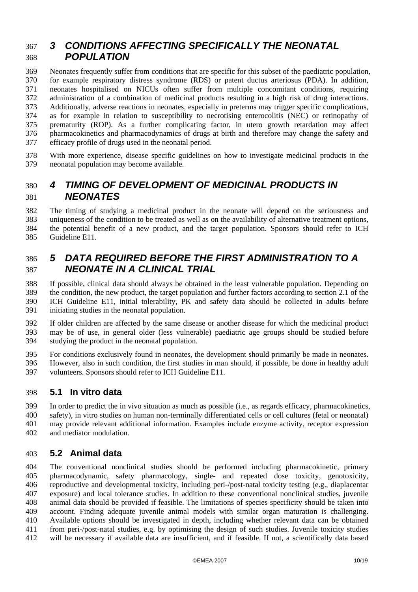# <span id="page-9-0"></span>367 *3 CONDITIONS AFFECTING SPECIFICALLY THE NEONATAL*  368 *POPULATION*

369 370 371 372 373 374 375 376 377 Neonates frequently suffer from conditions that are specific for this subset of the paediatric population, for example respiratory distress syndrome (RDS) or patent ductus arteriosus (PDA). In addition, neonates hospitalised on NICUs often suffer from multiple concomitant conditions, requiring administration of a combination of medicinal products resulting in a high risk of drug interactions. Additionally, adverse reactions in neonates, especially in preterms may trigger specific complications, as for example in relation to susceptibility to necrotising enterocolitis (NEC) or retinopathy of prematurity (ROP). As a further complicating factor, in utero growth retardation may affect pharmacokinetics and pharmacodynamics of drugs at birth and therefore may change the safety and efficacy profile of drugs used in the neonatal period.

378 379 With more experience, disease specific guidelines on how to investigate medicinal products in the neonatal population may become available.

#### 381 380 *4 TIMING OF DEVELOPMENT OF MEDICINAL PRODUCTS IN NEONATES*

382 383 384 385 The timing of studying a medicinal product in the neonate will depend on the seriousness and uniqueness of the condition to be treated as well as on the availability of alternative treatment options, the potential benefit of a new product, and the target population. Sponsors should refer to ICH Guideline E11.

#### 387 386 *5 DATA REQUIRED BEFORE THE FIRST ADMINISTRATION TO A NEONATE IN A CLINICAL TRIAL*

388 389 390 391 If possible, clinical data should always be obtained in the least vulnerable population. Depending on the condition, the new product, the target population and further factors according to section 2.1 of the ICH Guideline E11, initial tolerability, PK and safety data should be collected in adults before initiating studies in the neonatal population.

392 393 394 If older children are affected by the same disease or another disease for which the medicinal product may be of use, in general older (less vulnerable) paediatric age groups should be studied before studying the product in the neonatal population.

395 396 397 For conditions exclusively found in neonates, the development should primarily be made in neonates. However, also in such condition, the first studies in man should, if possible, be done in healthy adult volunteers. Sponsors should refer to ICH Guideline E11.

### 398 **5.1 In vitro data**

399 In order to predict the in vivo situation as much as possible (i.e., as regards efficacy, pharmacokinetics,

400 401 402 safety), in vitro studies on human non-terminally differentiated cells or cell cultures (fetal or neonatal) may provide relevant additional information. Examples include enzyme activity, receptor expression and mediator modulation.

# <span id="page-9-1"></span>403 **5.2 Animal data**

404 405 406 407 408 409 410 411 412 The conventional nonclinical studies should be performed including pharmacokinetic, primary pharmacodynamic, safety pharmacology, single- and repeated dose toxicity, genotoxicity, reproductive and developmental toxicity, including peri-/post-natal toxicity testing (e.g., diaplacentar exposure) and local tolerance studies. In addition to these conventional nonclinical studies, juvenile animal data should be provided if feasible. The limitations of species specificity should be taken into account. Finding adequate juvenile animal models with similar organ maturation is challenging. Available options should be investigated in depth, including whether relevant data can be obtained from peri-/post-natal studies, e.g. by optimising the design of such studies. Juvenile toxicity studies will be necessary if available data are insufficient, and if feasible. If not, a scientifically data based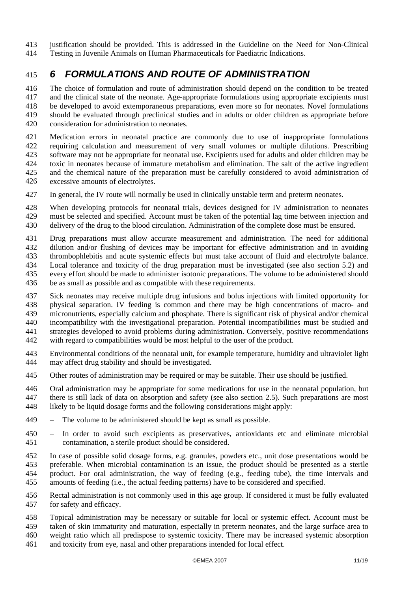- <span id="page-10-0"></span>413 justification should be provided. This is addressed in the Guideline on the Need for Non-Clinical
- 414 Testing in Juvenile Animals on Human Pharmaceuticals for Paediatric Indications.

# 415 *6 FORMULATIONS AND ROUTE OF ADMINISTRATION*

416 417 418 419 420 The choice of formulation and route of administration should depend on the condition to be treated and the clinical state of the neonate. Age-appropriate formulations using appropriate excipients must be developed to avoid extemporaneous preparations, even more so for neonates. Novel formulations should be evaluated through preclinical studies and in adults or older children as appropriate before consideration for administration to neonates.

421 422 423 424 425 426 Medication errors in neonatal practice are commonly due to use of inappropriate formulations requiring calculation and measurement of very small volumes or multiple dilutions. Prescribing software may not be appropriate for neonatal use. Excipients used for adults and older children may be toxic in neonates because of immature metabolism and elimination. The salt of the active ingredient and the chemical nature of the preparation must be carefully considered to avoid administration of excessive amounts of electrolytes.

- 427 In general, the IV route will normally be used in clinically unstable term and preterm neonates.
- 428 When developing protocols for neonatal trials, devices designed for IV administration to neonates
- 429 430 must be selected and specified. Account must be taken of the potential lag time between injection and delivery of the drug to the blood circulation. Administration of the complete dose must be ensured.
- 
- 431 432 Drug preparations must allow accurate measurement and administration. The need for additional dilution and/or flushing of devices may be important for effective administration and in avoiding
- 433 thrombophlebitis and acute systemic effects but must take account of fluid and electrolyte balance.
- 434 Local tolerance and toxicity of the drug preparation must be investigated (see also section [5.2\)](#page-9-1) and
- 435 every effort should be made to administer isotonic preparations. The volume to be administered should
- 436 be as small as possible and as compatible with these requirements.
- 437 438 439 440 441 442 Sick neonates may receive multiple drug infusions and bolus injections with limited opportunity for physical separation. IV feeding is common and there may be high concentrations of macro- and micronutrients, especially calcium and phosphate. There is significant risk of physical and/or chemical incompatibility with the investigational preparation. Potential incompatibilities must be studied and strategies developed to avoid problems during administration. Conversely, positive recommendations with regard to compatibilities would be most helpful to the user of the product.
- 443 444 Environmental conditions of the neonatal unit, for example temperature, humidity and ultraviolet light may affect drug stability and should be investigated.
- 445 Other routes of administration may be required or may be suitable. Their use should be justified.
- 446 447 448 Oral administration may be appropriate for some medications for use in the neonatal population, but there is still lack of data on absorption and safety (see also section [2.5\)](#page-7-1). Such preparations are most likely to be liquid dosage forms and the following considerations might apply:
- 449 − The volume to be administered should be kept as small as possible.
- 451 450 − In order to avoid such excipients as preservatives, antioxidants etc and eliminate microbial contamination, a sterile product should be considered.
- 452 In case of possible solid dosage forms, e.g. granules, powders etc., unit dose presentations would be
- 453 454 455 preferable. When microbial contamination is an issue, the product should be presented as a sterile product. For oral administration, the way of feeding (e.g., feeding tube), the time intervals and amounts of feeding (i.e., the actual feeding patterns) have to be considered and specified.
- 456 457 Rectal administration is not commonly used in this age group. If considered it must be fully evaluated for safety and efficacy.
- 458 Topical administration may be necessary or suitable for local or systemic effect. Account must be
- 459 taken of skin immaturity and maturation, especially in preterm neonates, and the large surface area to
- 460 weight ratio which all predispose to systemic toxicity. There may be increased systemic absorption
- 461 and toxicity from eye, nasal and other preparations intended for local effect.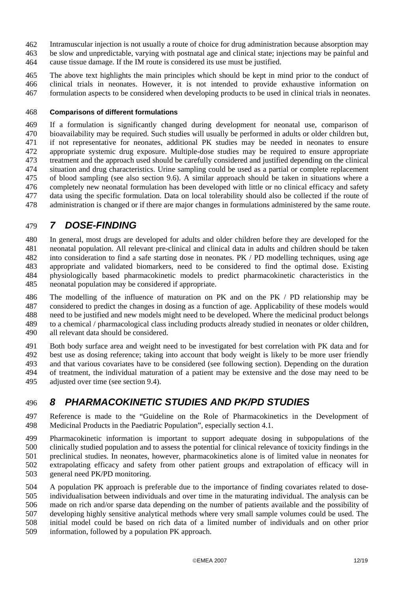- <span id="page-11-0"></span>462 Intramuscular injection is not usually a route of choice for drug administration because absorption may
- 463 be slow and unpredictable, varying with postnatal age and clinical state; injections may be painful and
- 464 cause tissue damage. If the IM route is considered its use must be justified.
- 465 466 467 The above text highlights the main principles which should be kept in mind prior to the conduct of clinical trials in neonates. However, it is not intended to provide exhaustive information on formulation aspects to be considered when developing products to be used in clinical trials in neonates.

#### 468 **Comparisons of different formulations**

469 470 471 472 473 474 475 476 477 478 If a formulation is significantly changed during development for neonatal use, comparison of bioavailability may be required. Such studies will usually be performed in adults or older children but, if not representative for neonates, additional PK studies may be needed in neonates to ensure appropriate systemic drug exposure. Multiple-dose studies may be required to ensure appropriate treatment and the approach used should be carefully considered and justified depending on the clinical situation and drug characteristics. Urine sampling could be used as a partial or complete replacement of blood sampling (see also section [9.6](#page-14-1)). A similar approach should be taken in situations where a completely new neonatal formulation has been developed with little or no clinical efficacy and safety data using the specific formulation. Data on local tolerability should also be collected if the route of administration is changed or if there are major changes in formulations administered by the same route.

# 479 *7 DOSE-FINDING*

480 481 482 483 484 485 In general, most drugs are developed for adults and older children before they are developed for the neonatal population. All relevant pre-clinical and clinical data in adults and children should be taken into consideration to find a safe starting dose in neonates. PK / PD modelling techniques, using age appropriate and validated biomarkers, need to be considered to find the optimal dose. Existing physiologically based pharmacokinetic models to predict pharmacokinetic characteristics in the neonatal population may be considered if appropriate.

486 487 488 489 490 The modelling of the influence of maturation on PK and on the PK / PD relationship may be considered to predict the changes in dosing as a function of age. Applicability of these models would need to be justified and new models might need to be developed. Where the medicinal product belongs to a chemical / pharmacological class including products already studied in neonates or older children, all relevant data should be considered.

491 492 493 494 495 Both body surface area and weight need to be investigated for best correlation with PK data and for best use as dosing reference; taking into account that body weight is likely to be more user friendly and that various covariates have to be considered (see following section). Depending on the duration of treatment, the individual maturation of a patient may be extensive and the dose may need to be adjusted over time (see section [9.4](#page-14-2)).

# 496 *8 PHARMACOKINETIC STUDIES AND PK/PD STUDIES*

- 497 498 Reference is made to the "Guideline on the Role of Pharmacokinetics in the Development of Medicinal Products in the Paediatric Population", especially section 4.1.
- 499 500 501 502 503 Pharmacokinetic information is important to support adequate dosing in subpopulations of the clinically studied population and to assess the potential for clinical relevance of toxicity findings in the preclinical studies. In neonates, however, pharmacokinetics alone is of limited value in neonates for extrapolating efficacy and safety from other patient groups and extrapolation of efficacy will in general need PK/PD monitoring.
- 504 505 506 507 508 509 A population PK approach is preferable due to the importance of finding covariates related to doseindividualisation between individuals and over time in the maturating individual. The analysis can be made on rich and/or sparse data depending on the number of patients available and the possibility of developing highly sensitive analytical methods where very small sample volumes could be used. The initial model could be based on rich data of a limited number of individuals and on other prior information, followed by a population PK approach.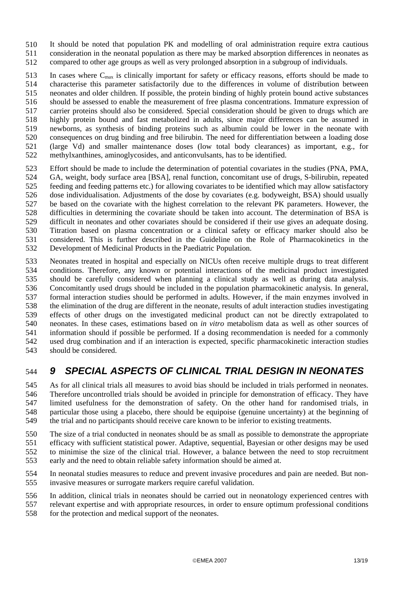- <span id="page-12-0"></span>510 It should be noted that population PK and modelling of oral administration require extra cautious
- 511 consideration in the neonatal population as there may be marked absorption differences in neonates as
- 512 compared to other age groups as well as very prolonged absorption in a subgroup of individuals.

513 514 515 516 517 518 519 520 521 522 In cases where  $C_{\text{max}}$  is clinically important for safety or efficacy reasons, efforts should be made to characterise this parameter satisfactorily due to the differences in volume of distribution between neonates and older children. If possible, the protein binding of highly protein bound active substances should be assessed to enable the measurement of free plasma concentrations. Immature expression of carrier proteins should also be considered. Special consideration should be given to drugs which are highly protein bound and fast metabolized in adults, since major differences can be assumed in newborns, as synthesis of binding proteins such as albumin could be lower in the neonate with consequences on drug binding and free bilirubin. The need for differentiation between a loading dose (large Vd) and smaller maintenance doses (low total body clearances) as important, e.g., for methylxanthines, aminoglycosides, and anticonvulsants, has to be identified.

523 524 525 526 527 528 529 530 531 532 Effort should be made to include the determination of potential covariates in the studies (PNA, PMA, GA, weight, body surface area [BSA], renal function, concomitant use of drugs, S-bilirubin, repeated feeding and feeding patterns etc.) for allowing covariates to be identified which may allow satisfactory dose individualisation. Adjustments of the dose by covariates (e.g. bodyweight, BSA) should usually be based on the covariate with the highest correlation to the relevant PK parameters. However, the difficulties in determining the covariate should be taken into account. The determination of BSA is difficult in neonates and other covariates should be considered if their use gives an adequate dosing. Titration based on plasma concentration or a clinical safety or efficacy marker should also be considered. This is further described in the Guideline on the Role of Pharmacokinetics in the Development of Medicinal Products in the Paediatric Population.

533 534 535 536 537 538 539 540 541 542 543 Neonates treated in hospital and especially on NICUs often receive multiple drugs to treat different conditions. Therefore, any known or potential interactions of the medicinal product investigated should be carefully considered when planning a clinical study as well as during data analysis. Concomitantly used drugs should be included in the population pharmacokinetic analysis. In general, formal interaction studies should be performed in adults. However, if the main enzymes involved in the elimination of the drug are different in the neonate, results of adult interaction studies investigating effects of other drugs on the investigated medicinal product can not be directly extrapolated to neonates. In these cases, estimations based on *in vitro* metabolism data as well as other sources of information should if possible be performed. If a dosing recommendation is needed for a commonly used drug combination and if an interaction is expected, specific pharmacokinetic interaction studies should be considered.

## 544 *9 SPECIAL ASPECTS OF CLINICAL TRIAL DESIGN IN NEONATES*

545 546 547 548 549 As for all clinical trials all measures to avoid bias should be included in trials performed in neonates. Therefore uncontrolled trials should be avoided in principle for demonstration of efficacy. They have limited usefulness for the demonstration of safety. On the other hand for randomised trials, in particular those using a placebo, there should be equipoise (genuine uncertainty) at the beginning of the trial and no participants should receive care known to be inferior to existing treatments.

550 The size of a trial conducted in neonates should be as small as possible to demonstrate the appropriate

- 551 552 efficacy with sufficient statistical power. Adaptive, sequential, Bayesian or other designs may be used to minimise the size of the clinical trial. However, a balance between the need to stop recruitment
- 553 early and the need to obtain reliable safety information should be aimed at.
- 554 555 In neonatal studies measures to reduce and prevent invasive procedures and pain are needed. But noninvasive measures or surrogate markers require careful validation.
- 556 In addition, clinical trials in neonates should be carried out in neonatology experienced centres with
- 557 relevant expertise and with appropriate resources, in order to ensure optimum professional conditions
- 558 for the protection and medical support of the neonates.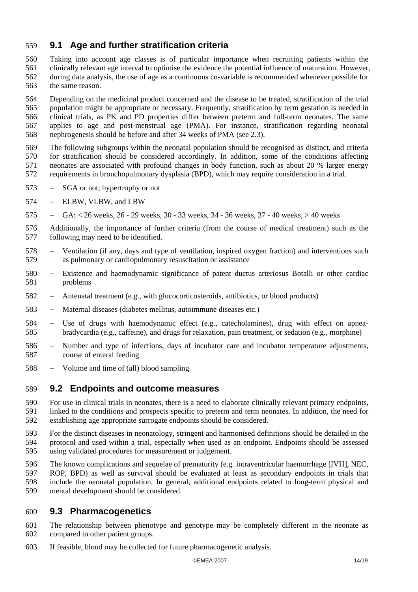## <span id="page-13-1"></span><span id="page-13-0"></span>559 **9.1 Age and further stratification criteria**

560 561 562 563 Taking into account age classes is of particular importance when recruiting patients within the clinically relevant age interval to optimise the evidence the potential influence of maturation. However, during data analysis, the use of age as a continuous co-variable is recommended whenever possible for the same reason.

564 565 566 567 568 Depending on the medicinal product concerned and the disease to be treated, stratification of the trial population might be appropriate or necessary. Frequently, stratification by term gestation is needed in clinical trials, as PK and PD properties differ between preterm and full-term neonates. The same applies to age and post-menstrual age (PMA). For instance, stratification regarding neonatal nephrogenesis should be before and after 34 weeks of PMA (see [2.3\)](#page-5-1).

569 570 571 572 The following subgroups within the neonatal population should be recognised as distinct, and criteria for stratification should be considered accordingly. In addition, some of the conditions affecting neonates are associated with profound changes in body function, such as about 20 % larger energy requirements in bronchopulmonary dysplasia (BPD), which may require consideration in a trial.

- 573 SGA or not; hypertrophy or not
- 574 ELBW, VLBW, and LBW
- 575 − GA: < 26 weeks, 26 29 weeks, 30 33 weeks, 34 36 weeks, 37 40 weeks, > 40 weeks
- 576 577 Additionally, the importance of further criteria (from the course of medical treatment) such as the following may need to be identified.
- 579 578 – Ventilation (if any, days and type of ventilation, inspired oxygen fraction) and interventions such as pulmonary or cardiopulmonary resuscitation or assistance
- 581 580 − Existence and haemodynamic significance of patent ductus arteriosus Botalli or other cardiac problems
- 582 − Antenatal treatment (e.g., with glucocorticosteroids, antibiotics, or blood products)
- 583 − Maternal diseases (diabetes mellitus, autoimmune diseases etc.)
- 585 584 – Use of drugs with haemodynamic effect (e.g., catecholamines), drug with effect on apneabradycardia (e.g., caffeine), and drugs for relaxation, pain treatment, or sedation (e.g., morphine)
- 587 586 − Number and type of infections, days of incubator care and incubator temperature adjustments, course of enteral feeding
- 588 − Volume and time of (all) blood sampling

### 589 **9.2 Endpoints and outcome measures**

590 591 592 For use in clinical trials in neonates, there is a need to elaborate clinically relevant primary endpoints, linked to the conditions and prospects specific to preterm and term neonates. In addition, the need for establishing age appropriate surrogate endpoints should be considered.

593 594 595 For the distinct diseases in neonatology, stringent and harmonised definitions should be detailed in the protocol and used within a trial, especially when used as an endpoint. Endpoints should be assessed using validated procedures for measurement or judgement.

596 597 598 599 The known complications and sequelae of prematurity (e.g. intraventricular haemorrhage [IVH], NEC, ROP, BPD) as well as survival should be evaluated at least as secondary endpoints in trials that include the neonatal population. In general, additional endpoints related to long-term physical and mental development should be considered.

### 600 **9.3 Pharmacogenetics**

- 601 602 The relationship between phenotype and genotype may be completely different in the neonate as compared to other patient groups.
- 603 If feasible, blood may be collected for future pharmacogenetic analysis.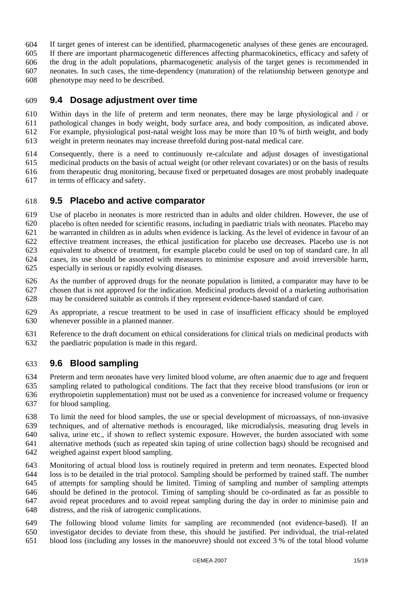<span id="page-14-0"></span>604 If target genes of interest can be identified, pharmacogenetic analyses of these genes are encouraged.

605 If there are important pharmacogenetic differences affecting pharmacokinetics, efficacy and safety of

606 the drug in the adult populations, pharmacogenetic analysis of the target genes is recommended in

607 608 neonates. In such cases, the time-dependency (maturation) of the relationship between genotype and phenotype may need to be described.

### <span id="page-14-2"></span>609 **9.4 Dosage adjustment over time**

610 611 612 613 Within days in the life of preterm and term neonates, there may be large physiological and / or pathological changes in body weight, body surface area, and body composition, as indicated above. For example, physiological post-natal weight loss may be more than 10 % of birth weight, and body weight in preterm neonates may increase threefold during post-natal medical care.

- 614 615 Consequently, there is a need to continuously re-calculate and adjust dosages of investigational medicinal products on the basis of actual weight (or other relevant covariates) or on the basis of results
- 616 from therapeutic drug monitoring, because fixed or perpetuated dosages are most probably inadequate
- 617 in terms of efficacy and safety.

### 618 **9.5 Placebo and active comparator**

619 620 621 622 623 624 625 Use of placebo in neonates is more restricted than in adults and older children. However, the use of placebo is often needed for scientific reasons, including in paediatric trials with neonates. Placebo may be warranted in children as in adults when evidence is lacking. As the level of evidence in favour of an effective treatment increases, the ethical justification for placebo use decreases. Placebo use is not equivalent to absence of treatment, for example placebo could be used on top of standard care. In all cases, its use should be assorted with measures to minimise exposure and avoid irreversible harm, especially in serious or rapidly evolving diseases.

- 626 627 628 As the number of approved drugs for the neonate population is limited, a comparator may have to be chosen that is not approved for the indication. Medicinal products devoid of a marketing authorisation may be considered suitable as controls if they represent evidence-based standard of care.
- 629 630 As appropriate, a rescue treatment to be used in case of insufficient efficacy should be employed whenever possible in a planned manner.
- 631 632 Reference to the draft document on ethical considerations for clinical trials on medicinal products with the paediatric population is made in this regard.

## <span id="page-14-1"></span>633 **9.6 Blood sampling**

634 635 636 637 Preterm and term neonates have very limited blood volume, are often anaemic due to age and frequent sampling related to pathological conditions. The fact that they receive blood transfusions (or iron or erythropoietin supplementation) must not be used as a convenience for increased volume or frequency for blood sampling.

- 638 639 640 641 642 To limit the need for blood samples, the use or special development of microassays, of non-invasive techniques, and of alternative methods is encouraged, like microdialysis, measuring drug levels in saliva, urine etc., if shown to reflect systemic exposure. However, the burden associated with some alternative methods (such as repeated skin taping of urine collection bags) should be recognised and weighed against expert blood sampling.
- 643 644 645 646 647 648 Monitoring of actual blood loss is routinely required in preterm and term neonates. Expected blood loss is to be detailed in the trial protocol. Sampling should be performed by trained staff. The number of attempts for sampling should be limited. Timing of sampling and number of sampling attempts should be defined in the protocol. Timing of sampling should be co-ordinated as far as possible to avoid repeat procedures and to avoid repeat sampling during the day in order to minimise pain and distress, and the risk of iatrogenic complications.
- 649 650 651 The following blood volume limits for sampling are recommended (not evidence-based). If an investigator decides to deviate from these, this should be justified. Per individual, the trial-related blood loss (including any losses in the manoeuvre) should not exceed 3 % of the total blood volume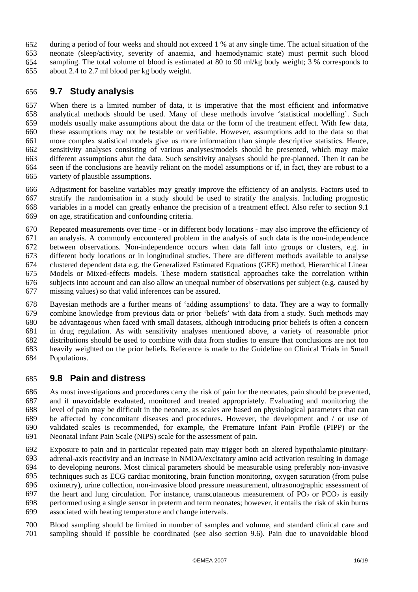<span id="page-15-0"></span>652 653 654 655 during a period of four weeks and should not exceed 1 % at any single time. The actual situation of the neonate (sleep/activity, severity of anaemia, and haemodynamic state) must permit such blood sampling. The total volume of blood is estimated at 80 to 90 ml/kg body weight; 3 % corresponds to about 2.4 to 2.7 ml blood per kg body weight.

### 656 **9.7 Study analysis**

657 658 659 660 661 662 663 664 665 When there is a limited number of data, it is imperative that the most efficient and informative analytical methods should be used. Many of these methods involve 'statistical modelling'. Such models usually make assumptions about the data or the form of the treatment effect. With few data, these assumptions may not be testable or verifiable. However, assumptions add to the data so that more complex statistical models give us more information than simple descriptive statistics. Hence, sensitivity analyses consisting of various analyses/models should be presented, which may make different assumptions abut the data. Such sensitivity analyses should be pre-planned. Then it can be seen if the conclusions are heavily reliant on the model assumptions or if, in fact, they are robust to a variety of plausible assumptions.

666 667 668 669 Adjustment for baseline variables may greatly improve the efficiency of an analysis. Factors used to stratify the randomisation in a study should be used to stratify the analysis. Including prognostic variables in a model can greatly enhance the precision of a treatment effect. Also refer to section [9.1](#page-13-1) on age, stratification and confounding criteria.

670 671 672 673 674 675 676 677 Repeated measurements over time - or in different body locations - may also improve the efficiency of an analysis. A commonly encountered problem in the analysis of such data is the non-independence between observations. Non-independence occurs when data fall into groups or clusters, e.g. in different body locations or in longitudinal studies. There are different methods available to analyse clustered dependent data e.g. the Generalized Estimated Equations (GEE) method, Hierarchical Linear Models or Mixed-effects models. These modern statistical approaches take the correlation within subjects into account and can also allow an unequal number of observations per subject (e.g. caused by missing values) so that valid inferences can be assured.

678 679 680 681 682 683 684 Bayesian methods are a further means of 'adding assumptions' to data. They are a way to formally combine knowledge from previous data or prior 'beliefs' with data from a study. Such methods may be advantageous when faced with small datasets, although introducing prior beliefs is often a concern in drug regulation. As with sensitivity analyses mentioned above, a variety of reasonable prior distributions should be used to combine with data from studies to ensure that conclusions are not too heavily weighted on the prior beliefs. Reference is made to the Guideline on Clinical Trials in Small Populations.

### 685 **9.8 Pain and distress**

686 687 688 689 690 691 As most investigations and procedures carry the risk of pain for the neonates, pain should be prevented, and if unavoidable evaluated, monitored and treated appropriately. Evaluating and monitoring the level of pain may be difficult in the neonate, as scales are based on physiological parameters that can be affected by concomitant diseases and procedures. However, the development and / or use of validated scales is recommended, for example, the Premature Infant Pain Profile (PIPP) or the Neonatal Infant Pain Scale (NIPS) scale for the assessment of pain.

692 693 694 695 696 697 698 699 Exposure to pain and in particular repeated pain may trigger both an altered hypothalamic-pituitaryadrenal-axis reactivity and an increase in NMDA/excitatory amino acid activation resulting in damage to developing neurons. Most clinical parameters should be measurable using preferably non-invasive techniques such as ECG cardiac monitoring, brain function monitoring, oxygen saturation (from pulse oximetry), urine collection, non-invasive blood pressure measurement, ultrasonographic assessment of the heart and lung circulation. For instance, transcutaneous measurement of  $PO_2$  or  $PCO_2$  is easily performed using a single sensor in preterm and term neonates; however, it entails the risk of skin burns associated with heating temperature and change intervals.

700 701 Blood sampling should be limited in number of samples and volume, and standard clinical care and sampling should if possible be coordinated (see also section [9.6](#page-14-1)). Pain due to unavoidable blood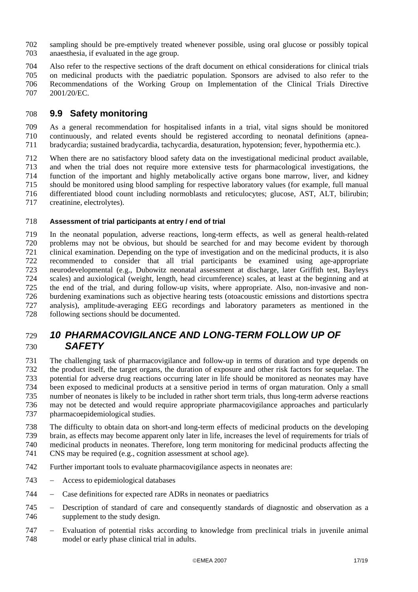- <span id="page-16-0"></span>702 703 sampling should be pre-emptively treated whenever possible, using oral glucose or possibly topical anaesthesia, if evaluated in the age group.
- 704 705 706 707 Also refer to the respective sections of the draft document on ethical considerations for clinical trials on medicinal products with the paediatric population. Sponsors are advised to also refer to the Recommendations of the Working Group on Implementation of the Clinical Trials Directive 2001/20/EC.

### 708 **9.9 Safety monitoring**

709 710 711 As a general recommendation for hospitalised infants in a trial, vital signs should be monitored continuously, and related events should be registered according to neonatal definitions (apneabradycardia; sustained bradycardia, tachycardia, desaturation, hypotension; fever, hypothermia etc.).

712 713 714 715 716 717 When there are no satisfactory blood safety data on the investigational medicinal product available, and when the trial does not require more extensive tests for pharmacological investigations, the function of the important and highly metabolically active organs bone marrow, liver, and kidney should be monitored using blood sampling for respective laboratory values (for example, full manual differentiated blood count including normoblasts and reticulocytes; glucose, AST, ALT, bilirubin; creatinine, electrolytes).

### 718 **Assessment of trial participants at entry / end of trial**

719 720 721 722 723 724 725 726 727 728 In the neonatal population, adverse reactions, long-term effects, as well as general health-related problems may not be obvious, but should be searched for and may become evident by thorough clinical examination. Depending on the type of investigation and on the medicinal products, it is also recommended to consider that all trial participants be examined using age-appropriate neurodevelopmental (e.g., Dubowitz neonatal assessment at discharge, later Griffith test, Bayleys scales) and auxiological (weight, length, head circumference) scales, at least at the beginning and at the end of the trial, and during follow-up visits, where appropriate. Also, non-invasive and nonburdening examinations such as objective hearing tests (otoacoustic emissions and distortions spectra analysis), amplitude-averaging EEG recordings and laboratory parameters as mentioned in the following sections should be documented.

#### 730 729 *10 PHARMACOVIGILANCE AND LONG-TERM FOLLOW UP OF SAFETY*

731 732 733 734 735 736 737 The challenging task of pharmacovigilance and follow-up in terms of duration and type depends on the product itself, the target organs, the duration of exposure and other risk factors for sequelae. The potential for adverse drug reactions occurring later in life should be monitored as neonates may have been exposed to medicinal products at a sensitive period in terms of organ maturation. Only a small number of neonates is likely to be included in rather short term trials, thus long-term adverse reactions may not be detected and would require appropriate pharmacovigilance approaches and particularly pharmacoepidemiological studies.

- 738 739 740 The difficulty to obtain data on short-and long-term effects of medicinal products on the developing brain, as effects may become apparent only later in life, increases the level of requirements for trials of medicinal products in neonates. Therefore, long term monitoring for medicinal products affecting the
- 741 CNS may be required (e.g., cognition assessment at school age).
- 742 Further important tools to evaluate pharmacovigilance aspects in neonates are:
- 743 Access to epidemiological databases
- 744 Case definitions for expected rare ADRs in neonates or paediatrics
- 746 745 – Description of standard of care and consequently standards of diagnostic and observation as a supplement to the study design.
- 748 747 − Evaluation of potential risks according to knowledge from preclinical trials in juvenile animal model or early phase clinical trial in adults.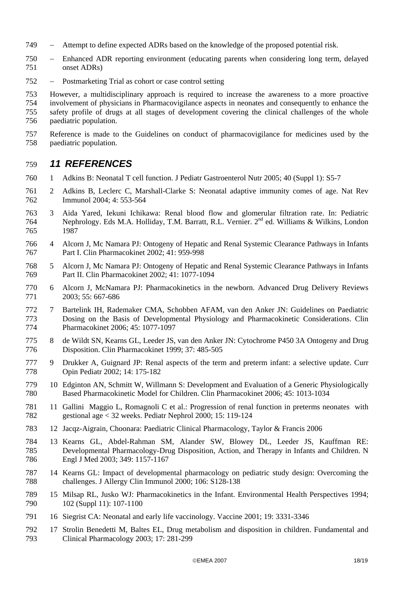- <span id="page-17-0"></span>749 – Attempt to define expected ADRs based on the knowledge of the proposed potential risk.
- 750 − Enhanced ADR reporting environment (educating parents when considering long term, delayed 751 onset ADRs)
- 752 − Postmarketing Trial as cohort or case control setting

753 754 755 756 However, a multidisciplinary approach is required to increase the awareness to a more proactive involvement of physicians in Pharmacovigilance aspects in neonates and consequently to enhance the safety profile of drugs at all stages of development covering the clinical challenges of the whole paediatric population.

757 758 Reference is made to the Guidelines on conduct of pharmacovigilance for medicines used by the paediatric population.

### 759 *11 REFERENCES*

- 760 1 Adkins B: Neonatal T cell function. J Pediatr Gastroenterol Nutr 2005; 40 (Suppl 1): S5-7
- 762 761 2 Adkins B, Leclerc C, Marshall-Clarke S: Neonatal adaptive immunity comes of age. Nat Rev Immunol 2004; 4: 553-564
- 764 765 763 3 Aida Yared, Iekuni Ichikawa: Renal blood flow and glomerular filtration rate. In: Pediatric Nephrology. Eds M.A. Holliday, T.M. Barratt, R.L. Vernier. 2<sup>nd</sup> ed. Williams & Wilkins, London 1987
- 767 766 4 Alcorn J, Mc Namara PJ: Ontogeny of Hepatic and Renal Systemic Clearance Pathways in Infants Part I. Clin Pharmacokinet 2002; 41: 959-998
- 769 768 5 Alcorn J, Mc Namara PJ: Ontogeny of Hepatic and Renal Systemic Clearance Pathways in Infants Part II. Clin Pharmacokinet 2002; 41: 1077-1094
- 771 770 6 Alcorn J, McNamara PJ: Pharmacokinetics in the newborn. Advanced Drug Delivery Reviews 2003; 55: 667-686
- 773 774 772 7 Bartelink IH, Rademaker CMA, Schobben AFAM, van den Anker JN: Guidelines on Paediatric Dosing on the Basis of Developmental Physiology and Pharmacokinetic Considerations. Clin Pharmacokinet 2006; 45: 1077-1097
- 776 775 8 de Wildt SN, Kearns GL, Leeder JS, van den Anker JN: Cytochrome P450 3A Ontogeny and Drug Disposition. Clin Pharmacokinet 1999; 37: 485-505
- 778 777 9 Drukker A, Guignard JP: Renal aspects of the term and preterm infant: a selective update. Curr Opin Pediatr 2002; 14: 175-182
- 780 779 10 Edginton AN, Schmitt W, Willmann S: Development and Evaluation of a Generic Physiologically Based Pharmacokinetic Model for Children. Clin Pharmacokinet 2006; 45: 1013-1034
- 782 781 11 Gallini Maggio L, Romagnoli C et al.: Progression of renal function in preterms neonates with gestional age < 32 weeks. Pediatr Nephrol 2000; 15: 119-124
- 783 12 Jacqz-Aigrain, Choonara: Paediatric Clinical Pharmacology, Taylor & Francis 2006
- 785 786 784 13 Kearns GL, Abdel-Rahman SM, Alander SW, Blowey DL, Leeder JS, Kauffman RE: Developmental Pharmacology-Drug Disposition, Action, and Therapy in Infants and Children. N Engl J Med 2003; 349: 1157-1167
- 788 787 14 Kearns GL: Impact of developmental pharmacology on pediatric study design: Overcoming the challenges. J Allergy Clin Immunol 2000; 106: S128-138
- 790 789 15 Milsap RL, Jusko WJ: Pharmacokinetics in the Infant. Environmental Health Perspectives 1994; 102 (Suppl 11): 107-1100
- 791 16 Siegrist CA: Neonatal and early life vaccinology. Vaccine 2001; 19: 3331-3346
- 793 792 17 Strolin Benedetti M, Baltes EL, Drug metabolism and disposition in children. Fundamental and Clinical Pharmacology 2003; 17: 281-299